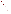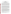### **EPA Symposium On Designating Attainable Uses For The Nation's Waters June 3-4, 2002 Abstract Submittal By Heather Lamberson Sanitation Districts of Los Angeles County "The Lower San Gabriel River Watershed: A Case Study Illustrating the Need for Subcategories of the Full Contact Recreation Use"**

#### Introduction

 Pursuant to the federal Clean Water Act (CWA) and the California Porter-Cologne Water Quality Act (PCA), the Los Angeles Regional Water Quality Control Board (Regional Board) has designated beneficial uses in the Water Quality Control Plan (or Basin Plan) for the Los Angeles Region. As the Basin Plan itself notes, beneficial uses "form the cornerstone of water quality protection under the Basin Plan." Once uses are designated, water quality objectives are established and programs implemented to ensure the protection of the uses. The designated beneficial uses, together with narrative or numeric water quality objectives, comprise the "water quality standards" for the region's waterways. The Regional Board utilizes 24 beneficial use categories to designate uses, these include: municipal and domestic drinking water supply, contact recreation, non-contact recreation, coldwater aquatic life habitat, and warmwater aquatic life habitat.

The Regional Board distinguishes between "existing" uses, "intermittent" uses, and "potential" uses. Existing uses are defined in federal regulations as those uses that have been attained in the waterbody on or after November 28, 1975 (whether or not they have been explicitly included in the State's water quality standards). Intermittent uses are designated for streams that have intermittent flows, according to the Basin Plan. Potential uses are broadly defined, and reasons for potential use designation include implementation of the State Sources of Drinking Water Policy, plans to put the water to such future use, potential to put the water to such future use, designation as a regional water quality goal, and public desire to put the water to such future use. It is important to note that the term "potential" is not defined in either state or federal law, or in regulations other than the Basin Plan, nor is it mandated that the Regional Board designate "potential" uses. The PCA in fact directs Regional Boards to adopt water quality objectives to reasonably protect "the past, present and *probable* future uses of water." (emphasis added)

### Designated Beneficial Uses Within the Lower San Gabriel River Watershed

 The water bodies within the portion of this watershed that is the focus of this talk include both fully concrete-lined channels and channelized unlined (i.e., soft-bottom) channels with riprap sides. Most of the waterbodies in the region were modified hydrologically for flood control purposes in the 1960s. The lower San Gabriel River and its tributaries have been designated with a variety of existing, intermittent and potential beneficial uses. Virtually all waters include existing, potential or intermittent contact recreation (REC-1), non-contact recreation (REC-2), warmwater aquatic life habitat (WARM), municipal and domestic water supply (MUN  $(P^*)^1$ ), and Wildlife Habitat use designations. Unlined channels also typically include groundwater recharge (GWR), Industrial Service Supply (IND), Industrial Process Supply (PROC), and in some cases, rare, threatened or endangered species (RARE) use designations. The San Gabriel River Estuary also includes Commercial and Sport Fishing (COMM), Spawning (SPWN), and Estuarine and Marine Habitat (EST and MAR), as well as Shellfish Harvesting (SHELL).

# REC-1 Use For All Channels

-

The REC-1 use is defined in the Basin Plan as "uses of water for recreational activities involving body contact with water, where ingestion of water is reasonably possible. These uses include, but are not limited to, swimming, wading, water-skiing, skin and scuba diving, surfing,

<sup>\*</sup> P.O. Box 4998, Whittier, CA 90607 or hlamberson@lacsd.org.

<sup>1</sup> The P\* MUN use designations are conditional uses that have no legal effect at this time.